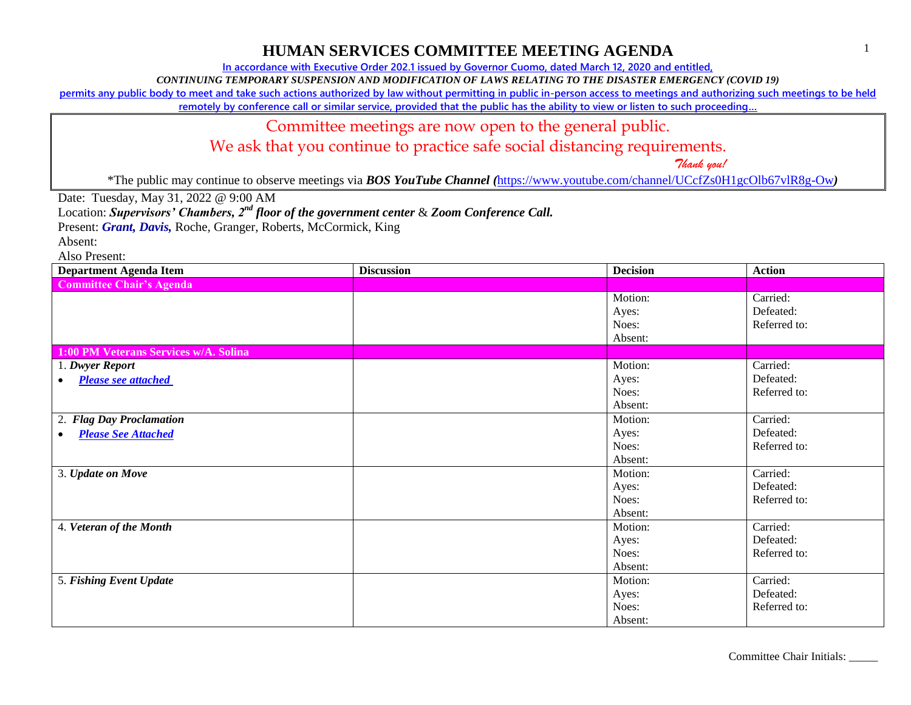**In accordance with Executive Order 202.1 issued by Governor Cuomo, dated March 12, 2020 and entitled,**

*CONTINUING TEMPORARY SUSPENSION AND MODIFICATION OF LAWS RELATING TO THE DISASTER EMERGENCY (COVID 19)*

**permits any public body to meet and take such actions authorized by law without permitting in public in-person access to meetings and authorizing such meetings to be held** 

**remotely by conference call or similar service, provided that the public has the ability to view or listen to such proceeding…**

### Committee meetings are now open to the general public.

We ask that you continue to practice safe social distancing requirements.

 *Thank you!*

\*The public may continue to observe meetings via *BOS YouTube Channel (*<https://www.youtube.com/channel/UCcfZs0H1gcOlb67vlR8g-Ow>*)*

Date: Tuesday, May 31, 2022 @ 9:00 AM

Location: *Supervisors' Chambers, 2nd floor of the government center* & *Zoom Conference Call.*

Present: *Grant, Davis*, Roche, Granger, Roberts, McCormick, King

Absent:

| <b>Department Agenda Item</b>         | <b>Discussion</b> | <b>Decision</b>                      | <b>Action</b>                         |
|---------------------------------------|-------------------|--------------------------------------|---------------------------------------|
| <b>Committee Chair's Agenda</b>       |                   |                                      |                                       |
|                                       |                   | Motion:<br>Ayes:<br>Noes:<br>Absent: | Carried:<br>Defeated:<br>Referred to: |
| 1:00 PM Veterans Services w/A. Solina |                   |                                      |                                       |
| 1. Dwyer Report                       |                   | Motion:                              | Carried:                              |
| <b>Please see attached</b>            |                   | Ayes:                                | Defeated:                             |
|                                       |                   | Noes:                                | Referred to:                          |
|                                       |                   | Absent:                              |                                       |
| <b>Flag Day Proclamation</b><br>2.    |                   | Motion:                              | Carried:                              |
| <b>Please See Attached</b>            |                   | Ayes:                                | Defeated:                             |
|                                       |                   | Noes:                                | Referred to:                          |
|                                       |                   | Absent:                              |                                       |
| 3. Update on Move                     |                   | Motion:                              | Carried:                              |
|                                       |                   | Ayes:                                | Defeated:                             |
|                                       |                   | Noes:                                | Referred to:                          |
|                                       |                   | Absent:                              |                                       |
| 4. Veteran of the Month               |                   | Motion:                              | Carried:                              |
|                                       |                   | Ayes:                                | Defeated:                             |
|                                       |                   | Noes:                                | Referred to:                          |
|                                       |                   | Absent:                              |                                       |
| 5. Fishing Event Update               |                   | Motion:                              | Carried:                              |
|                                       |                   | Ayes:                                | Defeated:                             |
|                                       |                   | Noes:                                | Referred to:                          |
|                                       |                   | Absent:                              |                                       |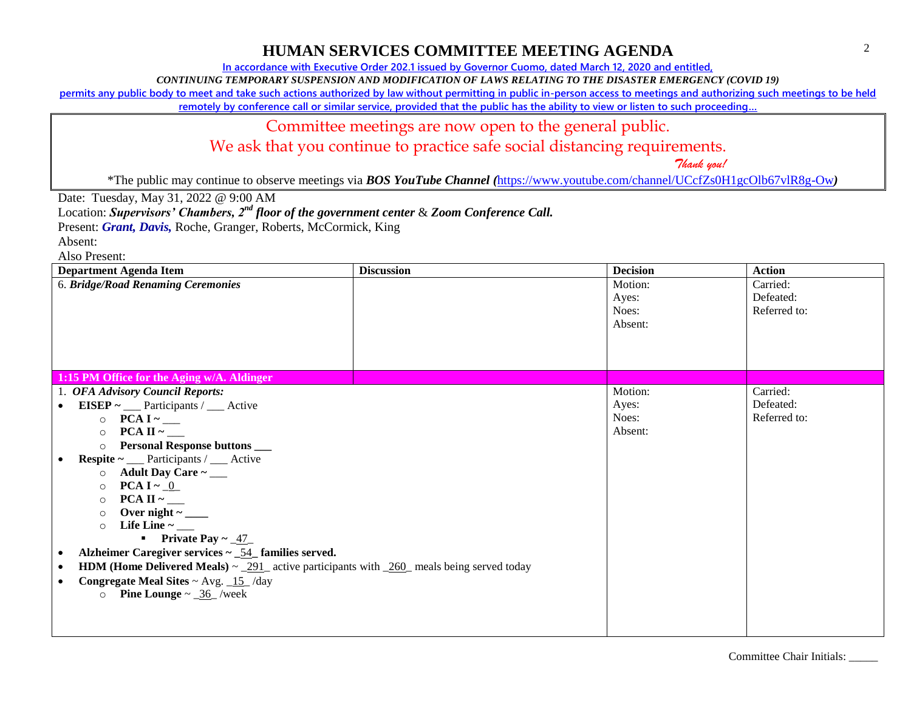**In accordance with Executive Order 202.1 issued by Governor Cuomo, dated March 12, 2020 and entitled,**

*CONTINUING TEMPORARY SUSPENSION AND MODIFICATION OF LAWS RELATING TO THE DISASTER EMERGENCY (COVID 19)*

**permits any public body to meet and take such actions authorized by law without permitting in public in-person access to meetings and authorizing such meetings to be held** 

**remotely by conference call or similar service, provided that the public has the ability to view or listen to such proceeding…**

### Committee meetings are now open to the general public.

We ask that you continue to practice safe social distancing requirements.

 *Thank you!*

\*The public may continue to observe meetings via *BOS YouTube Channel (*<https://www.youtube.com/channel/UCcfZs0H1gcOlb67vlR8g-Ow>*)*

Date: Tuesday, May 31, 2022 @ 9:00 AM

Location: *Supervisors' Chambers, 2nd floor of the government center* & *Zoom Conference Call.*

Present: *Grant, Davis*, Roche, Granger, Roberts, McCormick, King

Absent:

| <b>Department Agenda Item</b>                                                                                   | <b>Discussion</b> | <b>Decision</b> | <b>Action</b> |
|-----------------------------------------------------------------------------------------------------------------|-------------------|-----------------|---------------|
| 6. Bridge/Road Renaming Ceremonies                                                                              |                   | Motion:         | Carried:      |
|                                                                                                                 |                   | Ayes:           | Defeated:     |
|                                                                                                                 |                   | Noes:           | Referred to:  |
|                                                                                                                 |                   | Absent:         |               |
|                                                                                                                 |                   |                 |               |
|                                                                                                                 |                   |                 |               |
|                                                                                                                 |                   |                 |               |
| 1:15 PM Office for the Aging w/A. Aldinger                                                                      |                   |                 |               |
| 1. OFA Advisory Council Reports:                                                                                |                   | Motion:         | Carried:      |
| EISEP $\sim$ ___ Participants / ___ Active<br>$\bullet$                                                         |                   | Ayes:           | Defeated:     |
| $\circ$ PCA I ~                                                                                                 |                   | Noes:           | Referred to:  |
| PCA II ~<br>$\circ$                                                                                             |                   | Absent:         |               |
| <b>Personal Response buttons</b><br>$\circ$                                                                     |                   |                 |               |
| <b>Respite</b> $\sim$ ____ Participants / ____ Active                                                           |                   |                 |               |
| Adult Day Care $\sim$ ____<br>$\circ$                                                                           |                   |                 |               |
| <b>PCA I</b> $\sim$ <u>0</u><br>$\circ$                                                                         |                   |                 |               |
| PCA II $\sim$ ______<br>$\circ$                                                                                 |                   |                 |               |
| Over night $\sim$ ________<br>$\circ$                                                                           |                   |                 |               |
| Life Line $\sim$ _______<br>$\circ$                                                                             |                   |                 |               |
| • Private Pay $\sim$ $\frac{47}{ }$                                                                             |                   |                 |               |
| Alzheimer Caregiver services $\sim$ _54_ families served.                                                       |                   |                 |               |
| <b>HDM (Home Delivered Meals)</b> $\sim$ 291 active participants with 260 meals being served today<br>$\bullet$ |                   |                 |               |
| <b>Congregate Meal Sites ~ Avg.</b> $15$ /day                                                                   |                   |                 |               |
| <b>Pine Lounge</b> $\sim$ <u>36</u> /week<br>$\circ$                                                            |                   |                 |               |
|                                                                                                                 |                   |                 |               |
|                                                                                                                 |                   |                 |               |
|                                                                                                                 |                   |                 |               |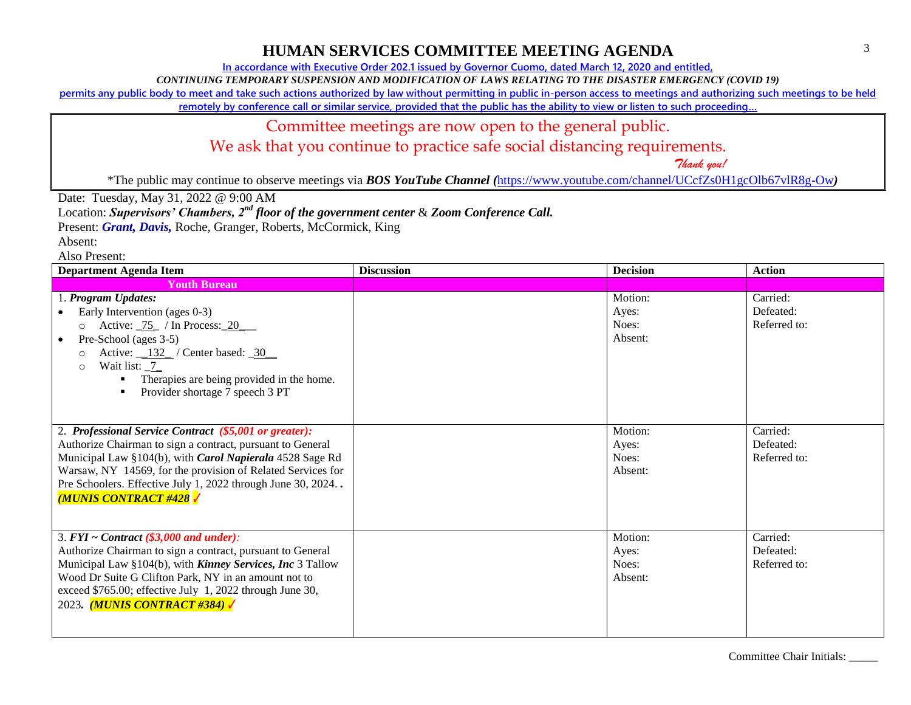**In accordance with Executive Order 202.1 issued by Governor Cuomo, dated March 12, 2020 and entitled,**

*CONTINUING TEMPORARY SUSPENSION AND MODIFICATION OF LAWS RELATING TO THE DISASTER EMERGENCY (COVID 19)*

**permits any public body to meet and take such actions authorized by law without permitting in public in-person access to meetings and authorizing such meetings to be held** 

**remotely by conference call or similar service, provided that the public has the ability to view or listen to such proceeding…**

## Committee meetings are now open to the general public.

We ask that you continue to practice safe social distancing requirements.

 *Thank you!*

\*The public may continue to observe meetings via *BOS YouTube Channel (*<https://www.youtube.com/channel/UCcfZs0H1gcOlb67vlR8g-Ow>*)*

Date: Tuesday, May 31, 2022 @ 9:00 AM

Location: *Supervisors' Chambers, 2nd floor of the government center* & *Zoom Conference Call.*

Present: *Grant, Davis*, Roche, Granger, Roberts, McCormick, King

Absent:

| <b>Department Agenda Item</b>                                                                                                                                                                                                                                                                                                                       | <b>Discussion</b> | <b>Decision</b>                      | <b>Action</b>                         |
|-----------------------------------------------------------------------------------------------------------------------------------------------------------------------------------------------------------------------------------------------------------------------------------------------------------------------------------------------------|-------------------|--------------------------------------|---------------------------------------|
| <b>Youth Bureau</b>                                                                                                                                                                                                                                                                                                                                 |                   |                                      |                                       |
| 1. Program Updates:<br>Early Intervention (ages 0-3)<br>Active: $\frac{75}{10}$ / In Process: 20<br>$\circ$<br>Pre-School (ages 3-5)<br>$\bullet$<br>Active: $\frac{132}{ }$ / Center based: $\frac{30}{ }$<br>$\Omega$<br>Wait list: 7<br>$\bigcap$<br>Therapies are being provided in the home.<br>Provider shortage 7 speech 3 PT                |                   | Motion:<br>Ayes:<br>Noes:<br>Absent: | Carried:<br>Defeated:<br>Referred to: |
| 2. Professional Service Contract (\$5,001 or greater):<br>Authorize Chairman to sign a contract, pursuant to General<br>Municipal Law §104(b), with Carol Napierala 4528 Sage Rd<br>Warsaw, NY 14569, for the provision of Related Services for<br>Pre Schoolers. Effective July 1, 2022 through June 30, 2024<br><b>MUNIS CONTRACT #428 /</b>      |                   | Motion:<br>Ayes:<br>Noes:<br>Absent: | Carried:<br>Defeated:<br>Referred to: |
| $\overline{3. FYI} \sim$ Contract (\$3,000 and under):<br>Authorize Chairman to sign a contract, pursuant to General<br>Municipal Law §104(b), with <b>Kinney Services</b> , Inc 3 Tallow<br>Wood Dr Suite G Clifton Park, NY in an amount not to<br>exceed \$765.00; effective July 1, 2022 through June 30,<br>2023. <i>(MUNIS CONTRACT #384)</i> |                   | Motion:<br>Ayes:<br>Noes:<br>Absent: | Carried:<br>Defeated:<br>Referred to: |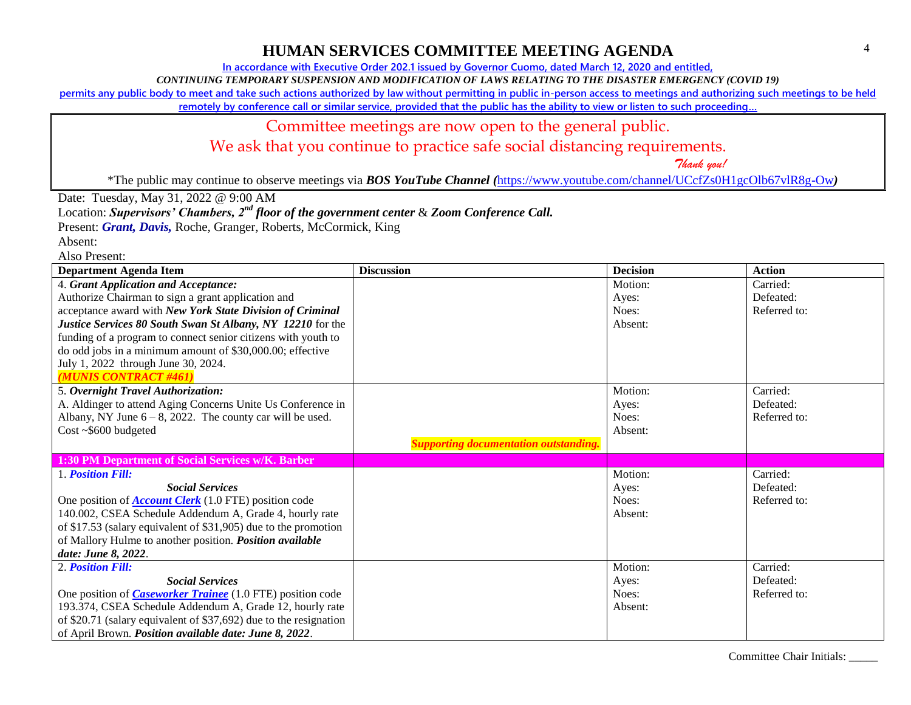**In accordance with Executive Order 202.1 issued by Governor Cuomo, dated March 12, 2020 and entitled,**

*CONTINUING TEMPORARY SUSPENSION AND MODIFICATION OF LAWS RELATING TO THE DISASTER EMERGENCY (COVID 19)*

**permits any public body to meet and take such actions authorized by law without permitting in public in-person access to meetings and authorizing such meetings to be held** 

**remotely by conference call or similar service, provided that the public has the ability to view or listen to such proceeding…**

#### Committee meetings are now open to the general public.

We ask that you continue to practice safe social distancing requirements.

 *Thank you!*

\*The public may continue to observe meetings via *BOS YouTube Channel (*<https://www.youtube.com/channel/UCcfZs0H1gcOlb67vlR8g-Ow>*)*

Date: Tuesday, May 31, 2022 @ 9:00 AM

Location: *Supervisors' Chambers, 2nd floor of the government center* & *Zoom Conference Call.*

Present: *Grant, Davis*, Roche, Granger, Roberts, McCormick, King

Absent:

Also Present:

| <b>Department Agenda Item</b>                                     | <b>Discussion</b>                            | <b>Decision</b> | <b>Action</b> |
|-------------------------------------------------------------------|----------------------------------------------|-----------------|---------------|
| 4. Grant Application and Acceptance:                              |                                              | Motion:         | Carried:      |
| Authorize Chairman to sign a grant application and                |                                              | Ayes:           | Defeated:     |
| acceptance award with New York State Division of Criminal         |                                              | Noes:           | Referred to:  |
| Justice Services 80 South Swan St Albany, NY 12210 for the        |                                              | Absent:         |               |
| funding of a program to connect senior citizens with youth to     |                                              |                 |               |
| do odd jobs in a minimum amount of \$30,000.00; effective         |                                              |                 |               |
| July 1, 2022 through June 30, 2024.                               |                                              |                 |               |
| (MUNIS CONTRACT #461)                                             |                                              |                 |               |
| 5. Overnight Travel Authorization:                                |                                              | Motion:         | Carried:      |
| A. Aldinger to attend Aging Concerns Unite Us Conference in       |                                              | Ayes:           | Defeated:     |
| Albany, NY June $6 - 8$ , 2022. The county car will be used.      |                                              | Noes:           | Referred to:  |
| Cost ~\$600 budgeted                                              |                                              | Absent:         |               |
|                                                                   | <b>Supporting documentation outstanding.</b> |                 |               |
| 1:30 PM Department of Social Services w/K. Barber                 |                                              |                 |               |
| 1. Position Fill:                                                 |                                              | Motion:         | Carried:      |
| <b>Social Services</b>                                            |                                              | Ayes:           | Defeated:     |
| One position of <b>Account Clerk</b> (1.0 FTE) position code      |                                              | Noes:           | Referred to:  |
| 140.002, CSEA Schedule Addendum A, Grade 4, hourly rate           |                                              | Absent:         |               |
| of \$17.53 (salary equivalent of \$31,905) due to the promotion   |                                              |                 |               |
| of Mallory Hulme to another position. Position available          |                                              |                 |               |
| date: June 8, 2022.                                               |                                              |                 |               |
| 2. Position Fill:                                                 |                                              | Motion:         | Carried:      |
| <b>Social Services</b>                                            |                                              | Ayes:           | Defeated:     |
| One position of <i>Caseworker Trainee</i> (1.0 FTE) position code |                                              | Noes:           | Referred to:  |
| 193.374, CSEA Schedule Addendum A, Grade 12, hourly rate          |                                              | Absent:         |               |
| of \$20.71 (salary equivalent of \$37,692) due to the resignation |                                              |                 |               |
| of April Brown. Position available date: June 8, 2022.            |                                              |                 |               |

Committee Chair Initials: \_\_\_\_\_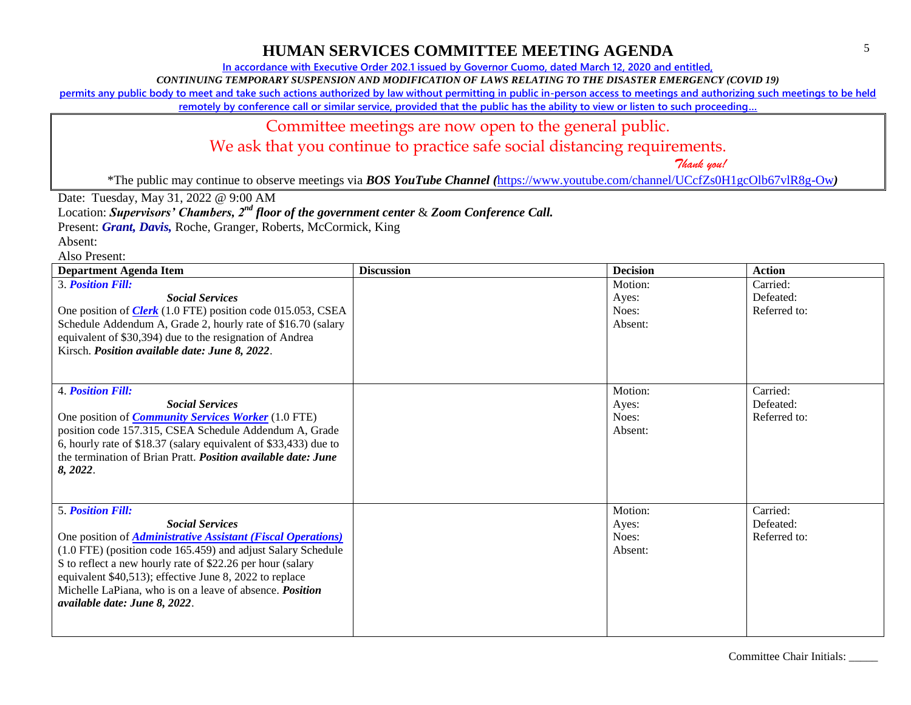**In accordance with Executive Order 202.1 issued by Governor Cuomo, dated March 12, 2020 and entitled,**

*CONTINUING TEMPORARY SUSPENSION AND MODIFICATION OF LAWS RELATING TO THE DISASTER EMERGENCY (COVID 19)*

**permits any public body to meet and take such actions authorized by law without permitting in public in-person access to meetings and authorizing such meetings to be held** 

**remotely by conference call or similar service, provided that the public has the ability to view or listen to such proceeding…**

## Committee meetings are now open to the general public.

We ask that you continue to practice safe social distancing requirements.

 *Thank you!*

\*The public may continue to observe meetings via *BOS YouTube Channel (*<https://www.youtube.com/channel/UCcfZs0H1gcOlb67vlR8g-Ow>*)*

Date: Tuesday, May 31, 2022 @ 9:00 AM

Location: *Supervisors' Chambers, 2nd floor of the government center* & *Zoom Conference Call.*

Present: *Grant, Davis*, Roche, Granger, Roberts, McCormick, King

Absent:

| <b>Department Agenda Item</b>                                                                                                                                                                                                                                                                                                                                                                                          | <b>Discussion</b> | <b>Decision</b>                      | <b>Action</b>                         |
|------------------------------------------------------------------------------------------------------------------------------------------------------------------------------------------------------------------------------------------------------------------------------------------------------------------------------------------------------------------------------------------------------------------------|-------------------|--------------------------------------|---------------------------------------|
| <b>3. Position Fill:</b><br><b>Social Services</b><br>One position of <i>Clerk</i> (1.0 FTE) position code 015.053, CSEA<br>Schedule Addendum A, Grade 2, hourly rate of \$16.70 (salary<br>equivalent of \$30,394) due to the resignation of Andrea<br>Kirsch. Position available date: June 8, 2022.                                                                                                                 |                   | Motion:<br>Ayes:<br>Noes:<br>Absent: | Carried:<br>Defeated:<br>Referred to: |
| <b>4. Position Fill:</b><br><b>Social Services</b><br>One position of <i>Community Services Worker</i> (1.0 FTE)<br>position code 157.315, CSEA Schedule Addendum A, Grade<br>6, hourly rate of \$18.37 (salary equivalent of \$33,433) due to<br>the termination of Brian Pratt. <i>Position available date: June</i><br>8, 2022.                                                                                     |                   | Motion:<br>Ayes:<br>Noes:<br>Absent: | Carried:<br>Defeated:<br>Referred to: |
| <b>5. Position Fill:</b><br><b>Social Services</b><br>One position of <i>Administrative Assistant (Fiscal Operations)</i><br>(1.0 FTE) (position code 165.459) and adjust Salary Schedule<br>S to reflect a new hourly rate of \$22.26 per hour (salary<br>equivalent \$40,513); effective June 8, 2022 to replace<br>Michelle LaPiana, who is on a leave of absence. <i>Position</i><br>available date: June 8, 2022. |                   | Motion:<br>Ayes:<br>Noes:<br>Absent: | Carried:<br>Defeated:<br>Referred to: |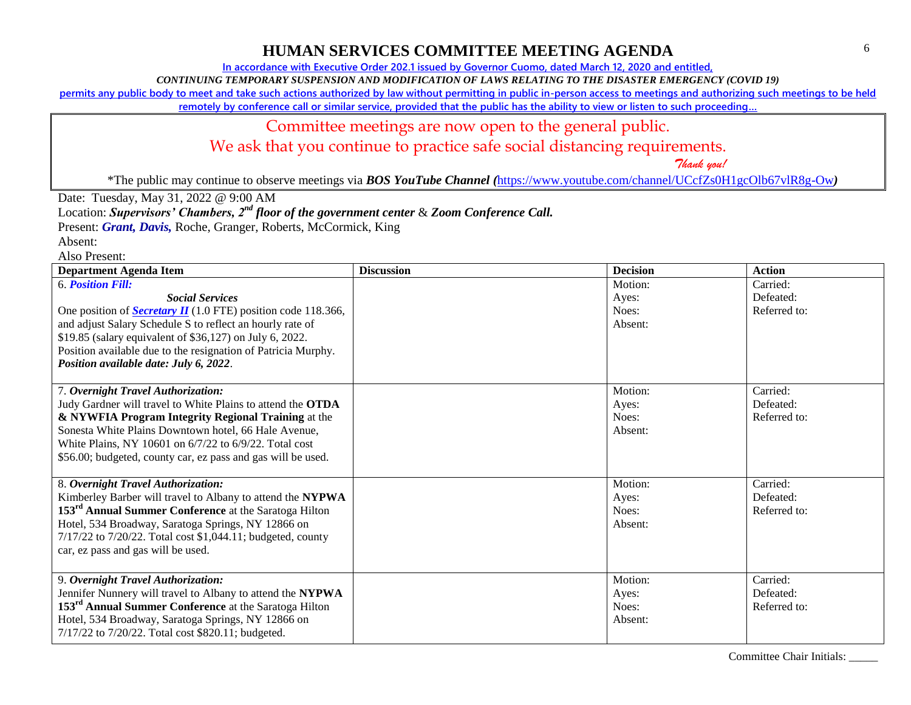**In accordance with Executive Order 202.1 issued by Governor Cuomo, dated March 12, 2020 and entitled,**

*CONTINUING TEMPORARY SUSPENSION AND MODIFICATION OF LAWS RELATING TO THE DISASTER EMERGENCY (COVID 19)*

**permits any public body to meet and take such actions authorized by law without permitting in public in-person access to meetings and authorizing such meetings to be held** 

**remotely by conference call or similar service, provided that the public has the ability to view or listen to such proceeding…**

## Committee meetings are now open to the general public.

We ask that you continue to practice safe social distancing requirements.

 *Thank you!*

\*The public may continue to observe meetings via *BOS YouTube Channel (*<https://www.youtube.com/channel/UCcfZs0H1gcOlb67vlR8g-Ow>*)*

Date: Tuesday, May 31, 2022 @ 9:00 AM

Location: *Supervisors' Chambers, 2nd floor of the government center* & *Zoom Conference Call.*

Present: *Grant, Davis*, Roche, Granger, Roberts, McCormick, King

Absent: Also Present:

| <b>Department Agenda Item</b>                                        | <b>Discussion</b> | <b>Decision</b> | <b>Action</b> |
|----------------------------------------------------------------------|-------------------|-----------------|---------------|
| <b>6. Position Fill:</b>                                             |                   | Motion:         | Carried:      |
| <b>Social Services</b>                                               |                   | Ayes:           | Defeated:     |
| One position of <b>Secretary II</b> (1.0 FTE) position code 118.366, |                   | Noes:           | Referred to:  |
| and adjust Salary Schedule S to reflect an hourly rate of            |                   | Absent:         |               |
| \$19.85 (salary equivalent of \$36,127) on July 6, 2022.             |                   |                 |               |
| Position available due to the resignation of Patricia Murphy.        |                   |                 |               |
| Position available date: July 6, 2022.                               |                   |                 |               |
|                                                                      |                   |                 |               |
| 7. Overnight Travel Authorization:                                   |                   | Motion:         | Carried:      |
| Judy Gardner will travel to White Plains to attend the OTDA          |                   | Ayes:           | Defeated:     |
| & NYWFIA Program Integrity Regional Training at the                  |                   | Noes:           | Referred to:  |
| Sonesta White Plains Downtown hotel, 66 Hale Avenue,                 |                   | Absent:         |               |
| White Plains, NY 10601 on 6/7/22 to 6/9/22. Total cost               |                   |                 |               |
| \$56.00; budgeted, county car, ez pass and gas will be used.         |                   |                 |               |
|                                                                      |                   |                 |               |
| 8. Overnight Travel Authorization:                                   |                   | Motion:         | Carried:      |
| Kimberley Barber will travel to Albany to attend the NYPWA           |                   | Ayes:           | Defeated:     |
| 153 <sup>rd</sup> Annual Summer Conference at the Saratoga Hilton    |                   | Noes:           | Referred to:  |
| Hotel, 534 Broadway, Saratoga Springs, NY 12866 on                   |                   | Absent:         |               |
| 7/17/22 to 7/20/22. Total cost \$1,044.11; budgeted, county          |                   |                 |               |
| car, ez pass and gas will be used.                                   |                   |                 |               |
|                                                                      |                   |                 |               |
| 9. Overnight Travel Authorization:                                   |                   | Motion:         | Carried:      |
| Jennifer Nunnery will travel to Albany to attend the NYPWA           |                   | Ayes:           | Defeated:     |
| 153 <sup>rd</sup> Annual Summer Conference at the Saratoga Hilton    |                   | Noes:           | Referred to:  |
| Hotel, 534 Broadway, Saratoga Springs, NY 12866 on                   |                   | Absent:         |               |
| 7/17/22 to 7/20/22. Total cost \$820.11; budgeted.                   |                   |                 |               |
|                                                                      |                   |                 |               |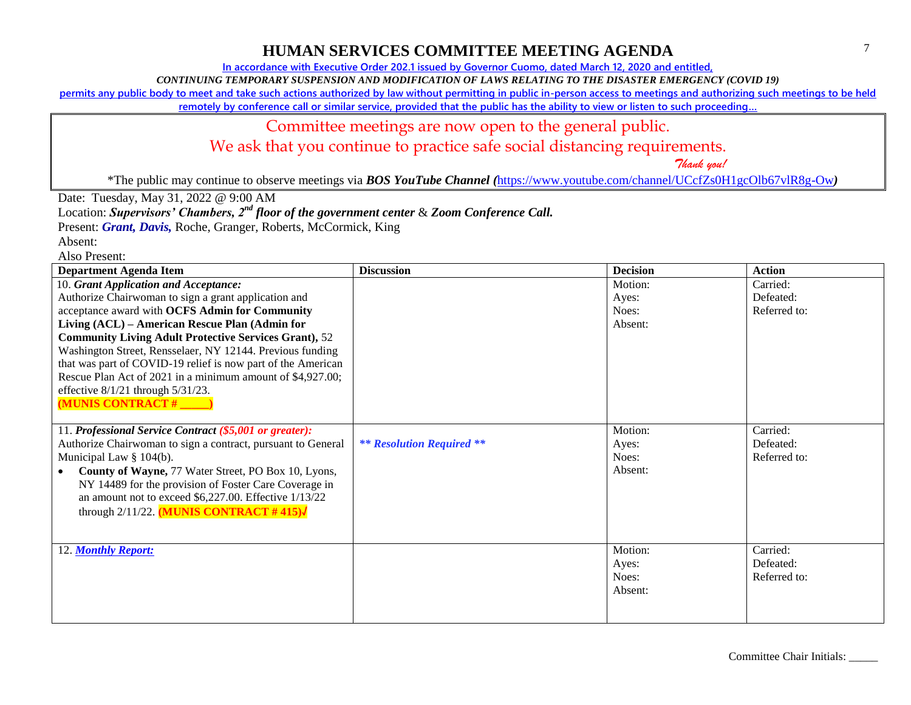**In accordance with Executive Order 202.1 issued by Governor Cuomo, dated March 12, 2020 and entitled,**

*CONTINUING TEMPORARY SUSPENSION AND MODIFICATION OF LAWS RELATING TO THE DISASTER EMERGENCY (COVID 19)*

**permits any public body to meet and take such actions authorized by law without permitting in public in-person access to meetings and authorizing such meetings to be held** 

**remotely by conference call or similar service, provided that the public has the ability to view or listen to such proceeding…**

## Committee meetings are now open to the general public.

We ask that you continue to practice safe social distancing requirements.

 *Thank you!*

\*The public may continue to observe meetings via *BOS YouTube Channel (*<https://www.youtube.com/channel/UCcfZs0H1gcOlb67vlR8g-Ow>*)*

Date: Tuesday, May 31, 2022 @ 9:00 AM

Location: *Supervisors' Chambers, 2nd floor of the government center* & *Zoom Conference Call.*

Present: *Grant, Davis*, Roche, Granger, Roberts, McCormick, King

Absent:

| <b>Department Agenda Item</b>                                    | <b>Discussion</b>                | <b>Decision</b> | <b>Action</b> |
|------------------------------------------------------------------|----------------------------------|-----------------|---------------|
| 10. Grant Application and Acceptance:                            |                                  | Motion:         | Carried:      |
| Authorize Chairwoman to sign a grant application and             |                                  | Ayes:           | Defeated:     |
| acceptance award with OCFS Admin for Community                   |                                  | Noes:           | Referred to:  |
| Living (ACL) – American Rescue Plan (Admin for                   |                                  | Absent:         |               |
| <b>Community Living Adult Protective Services Grant), 52</b>     |                                  |                 |               |
| Washington Street, Rensselaer, NY 12144. Previous funding        |                                  |                 |               |
| that was part of COVID-19 relief is now part of the American     |                                  |                 |               |
| Rescue Plan Act of 2021 in a minimum amount of \$4,927.00;       |                                  |                 |               |
| effective $8/1/21$ through $5/31/23$ .                           |                                  |                 |               |
| <b>MUNIS CONTRACT#</b>                                           |                                  |                 |               |
|                                                                  |                                  |                 |               |
| 11. Professional Service Contract (\$5,001 or greater):          |                                  | Motion:         | Carried:      |
| Authorize Chairwoman to sign a contract, pursuant to General     | <b>** Resolution Required **</b> | Ayes:           | Defeated:     |
| Municipal Law $\S$ 104(b).                                       |                                  | Noes:           | Referred to:  |
| County of Wayne, 77 Water Street, PO Box 10, Lyons,<br>$\bullet$ |                                  | Absent:         |               |
| NY 14489 for the provision of Foster Care Coverage in            |                                  |                 |               |
| an amount not to exceed \$6,227.00. Effective 1/13/22            |                                  |                 |               |
| through $2/11/22$ . (MUNIS CONTRACT #415) $\sqrt{ }$             |                                  |                 |               |
|                                                                  |                                  |                 |               |
|                                                                  |                                  |                 |               |
| 12. Monthly Report:                                              |                                  | Motion:         | Carried:      |
|                                                                  |                                  | Ayes:           | Defeated:     |
|                                                                  |                                  | Noes:           | Referred to:  |
|                                                                  |                                  | Absent:         |               |
|                                                                  |                                  |                 |               |
|                                                                  |                                  |                 |               |